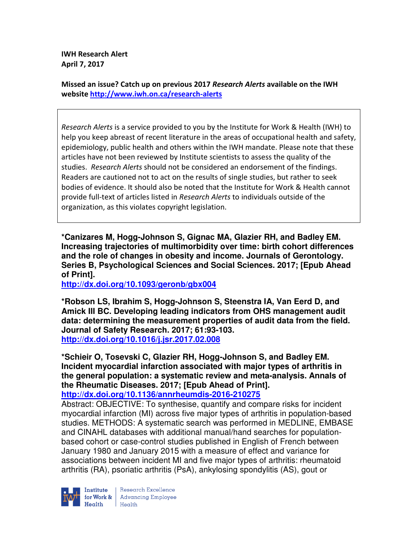**IWH Research Alert April 7, 2017** 

**Missed an issue? Catch up on previous 2017** *Research Alerts* **available on the IWH website http://www.iwh.on.ca/research-alerts**

*Research Alerts* is a service provided to you by the Institute for Work & Health (IWH) to help you keep abreast of recent literature in the areas of occupational health and safety, epidemiology, public health and others within the IWH mandate. Please note that these articles have not been reviewed by Institute scientists to assess the quality of the studies. *Research Alerts* should not be considered an endorsement of the findings. Readers are cautioned not to act on the results of single studies, but rather to seek bodies of evidence. It should also be noted that the Institute for Work & Health cannot provide full-text of articles listed in *Research Alerts* to individuals outside of the organization, as this violates copyright legislation.

**\*Canizares M, Hogg-Johnson S, Gignac MA, Glazier RH, and Badley EM. Increasing trajectories of multimorbidity over time: birth cohort differences and the role of changes in obesity and income. Journals of Gerontology. Series B, Psychological Sciences and Social Sciences. 2017; [Epub Ahead of Print].** 

**http://dx.doi.org/10.1093/geronb/gbx004** 

**\*Robson LS, Ibrahim S, Hogg-Johnson S, Steenstra IA, Van Eerd D, and Amick III BC. Developing leading indicators from OHS management audit data: determining the measurement properties of audit data from the field. Journal of Safety Research. 2017; 61:93-103. http://dx.doi.org/10.1016/j.jsr.2017.02.008** 

**\*Schieir O, Tosevski C, Glazier RH, Hogg-Johnson S, and Badley EM. Incident myocardial infarction associated with major types of arthritis in the general population: a systematic review and meta-analysis. Annals of the Rheumatic Diseases. 2017; [Epub Ahead of Print]. http://dx.doi.org/10.1136/annrheumdis-2016-210275** 

Abstract: OBJECTIVE: To synthesise, quantify and compare risks for incident myocardial infarction (MI) across five major types of arthritis in population-based studies. METHODS: A systematic search was performed in MEDLINE, EMBASE and CINAHL databases with additional manual/hand searches for populationbased cohort or case-control studies published in English of French between January 1980 and January 2015 with a measure of effect and variance for associations between incident MI and five major types of arthritis: rheumatoid arthritis (RA), psoriatic arthritis (PsA), ankylosing spondylitis (AS), gout or



Research Excellence **Institute** Research Excellence<br> **for Work &** Advancing Employee  $Heath$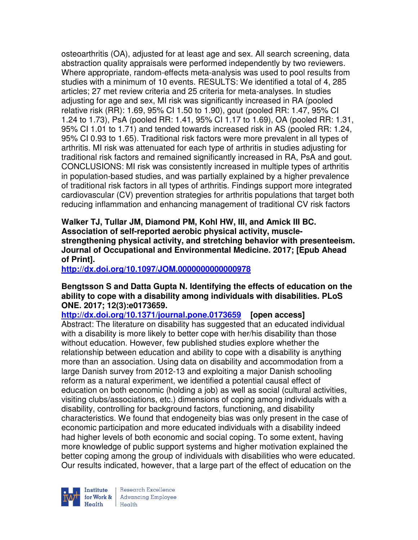osteoarthritis (OA), adjusted for at least age and sex. All search screening, data abstraction quality appraisals were performed independently by two reviewers. Where appropriate, random-effects meta-analysis was used to pool results from studies with a minimum of 10 events. RESULTS: We identified a total of 4, 285 articles; 27 met review criteria and 25 criteria for meta-analyses. In studies adjusting for age and sex, MI risk was significantly increased in RA (pooled relative risk (RR): 1.69, 95% CI 1.50 to 1.90), gout (pooled RR: 1.47, 95% CI 1.24 to 1.73), PsA (pooled RR: 1.41, 95% CI 1.17 to 1.69), OA (pooled RR: 1.31, 95% CI 1.01 to 1.71) and tended towards increased risk in AS (pooled RR: 1.24, 95% CI 0.93 to 1.65). Traditional risk factors were more prevalent in all types of arthritis. MI risk was attenuated for each type of arthritis in studies adjusting for traditional risk factors and remained significantly increased in RA, PsA and gout. CONCLUSIONS: MI risk was consistently increased in multiple types of arthritis in population-based studies, and was partially explained by a higher prevalence of traditional risk factors in all types of arthritis. Findings support more integrated cardiovascular (CV) prevention strategies for arthritis populations that target both reducing inflammation and enhancing management of traditional CV risk factors

**Walker TJ, Tullar JM, Diamond PM, Kohl HW, III, and Amick III BC. Association of self-reported aerobic physical activity, musclestrengthening physical activity, and stretching behavior with presenteeism. Journal of Occupational and Environmental Medicine. 2017; [Epub Ahead of Print].** 

**http://dx.doi.org/10.1097/JOM.0000000000000978** 

## **Bengtsson S and Datta Gupta N. Identifying the effects of education on the ability to cope with a disability among individuals with disabilities. PLoS ONE. 2017; 12(3):e0173659.**

**http://dx.doi.org/10.1371/journal.pone.0173659 [open access]** Abstract: The literature on disability has suggested that an educated individual with a disability is more likely to better cope with her/his disability than those without education. However, few published studies explore whether the relationship between education and ability to cope with a disability is anything more than an association. Using data on disability and accommodation from a large Danish survey from 2012-13 and exploiting a major Danish schooling reform as a natural experiment, we identified a potential causal effect of education on both economic (holding a job) as well as social (cultural activities, visiting clubs/associations, etc.) dimensions of coping among individuals with a disability, controlling for background factors, functioning, and disability characteristics. We found that endogeneity bias was only present in the case of economic participation and more educated individuals with a disability indeed had higher levels of both economic and social coping. To some extent, having more knowledge of public support systems and higher motivation explained the better coping among the group of individuals with disabilities who were educated. Our results indicated, however, that a large part of the effect of education on the



Research Excellence for Work & | Advancing Employee Health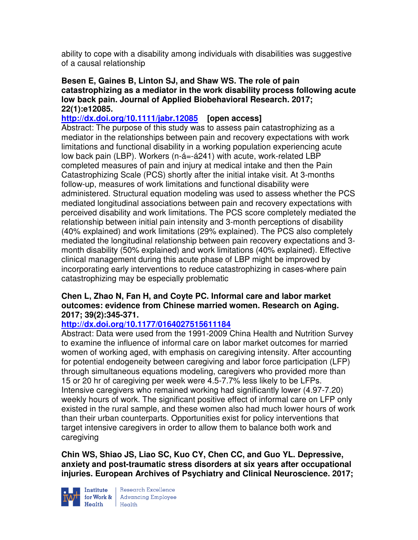ability to cope with a disability among individuals with disabilities was suggestive of a causal relationship

### **Besen E, Gaines B, Linton SJ, and Shaw WS. The role of pain catastrophizing as a mediator in the work disability process following acute low back pain. Journal of Applied Biobehavioral Research. 2017; 22(1):e12085.**

# **http://dx.doi.org/10.1111/jabr.12085 [open access]**

Abstract: The purpose of this study was to assess pain catastrophizing as a mediator in the relationships between pain and recovery expectations with work limitations and functional disability in a working population experiencing acute low back pain (LBP). Workers (n-á=-á241) with acute, work-related LBP completed measures of pain and injury at medical intake and then the Pain Catastrophizing Scale (PCS) shortly after the initial intake visit. At 3-months follow-up, measures of work limitations and functional disability were administered. Structural equation modeling was used to assess whether the PCS mediated longitudinal associations between pain and recovery expectations with perceived disability and work limitations. The PCS score completely mediated the relationship between initial pain intensity and 3-month perceptions of disability (40% explained) and work limitations (29% explained). The PCS also completely mediated the longitudinal relationship between pain recovery expectations and 3 month disability (50% explained) and work limitations (40% explained). Effective clinical management during this acute phase of LBP might be improved by incorporating early interventions to reduce catastrophizing in cases-where pain catastrophizing may be especially problematic

## **Chen L, Zhao N, Fan H, and Coyte PC. Informal care and labor market outcomes: evidence from Chinese married women. Research on Aging. 2017; 39(2):345-371.**

# **http://dx.doi.org/10.1177/0164027515611184**

Abstract: Data were used from the 1991-2009 China Health and Nutrition Survey to examine the influence of informal care on labor market outcomes for married women of working aged, with emphasis on caregiving intensity. After accounting for potential endogeneity between caregiving and labor force participation (LFP) through simultaneous equations modeling, caregivers who provided more than 15 or 20 hr of caregiving per week were 4.5-7.7% less likely to be LFPs. Intensive caregivers who remained working had significantly lower (4.97-7.20) weekly hours of work. The significant positive effect of informal care on LFP only existed in the rural sample, and these women also had much lower hours of work than their urban counterparts. Opportunities exist for policy interventions that target intensive caregivers in order to allow them to balance both work and caregiving

**Chin WS, Shiao JS, Liao SC, Kuo CY, Chen CC, and Guo YL. Depressive, anxiety and post-traumatic stress disorders at six years after occupational injuries. European Archives of Psychiatry and Clinical Neuroscience. 2017;** 



Institute Research Excellence<br>
for Work & Advancing Employee<br>
Health Health Health Health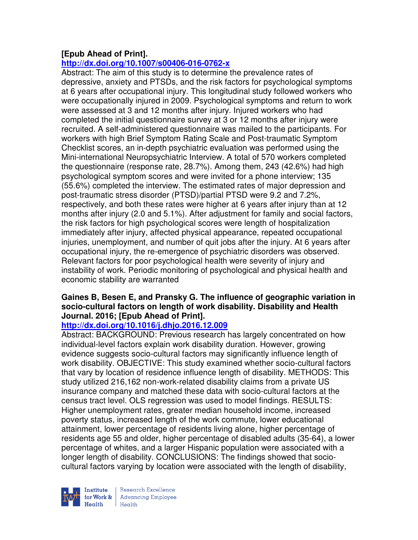# **[Epub Ahead of Print].**

# **http://dx.doi.org/10.1007/s00406-016-0762-x**

Abstract: The aim of this study is to determine the prevalence rates of depressive, anxiety and PTSDs, and the risk factors for psychological symptoms at 6 years after occupational injury. This longitudinal study followed workers who were occupationally injured in 2009. Psychological symptoms and return to work were assessed at 3 and 12 months after injury. Injured workers who had completed the initial questionnaire survey at 3 or 12 months after injury were recruited. A self-administered questionnaire was mailed to the participants. For workers with high Brief Symptom Rating Scale and Post-traumatic Symptom Checklist scores, an in-depth psychiatric evaluation was performed using the Mini-international Neuropsychiatric Interview. A total of 570 workers completed the questionnaire (response rate, 28.7%). Among them, 243 (42.6%) had high psychological symptom scores and were invited for a phone interview; 135 (55.6%) completed the interview. The estimated rates of major depression and post-traumatic stress disorder (PTSD)/partial PTSD were 9.2 and 7.2%, respectively, and both these rates were higher at 6 years after injury than at 12 months after injury (2.0 and 5.1%). After adjustment for family and social factors, the risk factors for high psychological scores were length of hospitalization immediately after injury, affected physical appearance, repeated occupational injuries, unemployment, and number of quit jobs after the injury. At 6 years after occupational injury, the re-emergence of psychiatric disorders was observed. Relevant factors for poor psychological health were severity of injury and instability of work. Periodic monitoring of psychological and physical health and economic stability are warranted

# **Gaines B, Besen E, and Pransky G. The influence of geographic variation in socio-cultural factors on length of work disability. Disability and Health Journal. 2016; [Epub Ahead of Print].**

# **http://dx.doi.org/10.1016/j.dhjo.2016.12.009**

Abstract: BACKGROUND: Previous research has largely concentrated on how individual-level factors explain work disability duration. However, growing evidence suggests socio-cultural factors may significantly influence length of work disability. OBJECTIVE: This study examined whether socio-cultural factors that vary by location of residence influence length of disability. METHODS: This study utilized 216,162 non-work-related disability claims from a private US insurance company and matched these data with socio-cultural factors at the census tract level. OLS regression was used to model findings. RESULTS: Higher unemployment rates, greater median household income, increased poverty status, increased length of the work commute, lower educational attainment, lower percentage of residents living alone, higher percentage of residents age 55 and older, higher percentage of disabled adults (35-64), a lower percentage of whites, and a larger Hispanic population were associated with a longer length of disability. CONCLUSIONS: The findings showed that sociocultural factors varying by location were associated with the length of disability,

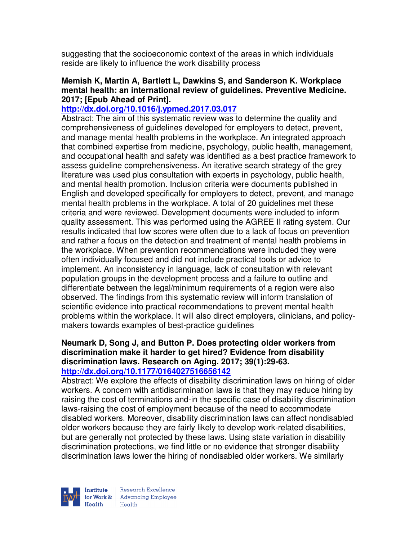suggesting that the socioeconomic context of the areas in which individuals reside are likely to influence the work disability process

#### **Memish K, Martin A, Bartlett L, Dawkins S, and Sanderson K. Workplace mental health: an international review of guidelines. Preventive Medicine. 2017; [Epub Ahead of Print].**

## **http://dx.doi.org/10.1016/j.ypmed.2017.03.017**

Abstract: The aim of this systematic review was to determine the quality and comprehensiveness of guidelines developed for employers to detect, prevent, and manage mental health problems in the workplace. An integrated approach that combined expertise from medicine, psychology, public health, management, and occupational health and safety was identified as a best practice framework to assess guideline comprehensiveness. An iterative search strategy of the grey literature was used plus consultation with experts in psychology, public health, and mental health promotion. Inclusion criteria were documents published in English and developed specifically for employers to detect, prevent, and manage mental health problems in the workplace. A total of 20 guidelines met these criteria and were reviewed. Development documents were included to inform quality assessment. This was performed using the AGREE II rating system. Our results indicated that low scores were often due to a lack of focus on prevention and rather a focus on the detection and treatment of mental health problems in the workplace. When prevention recommendations were included they were often individually focused and did not include practical tools or advice to implement. An inconsistency in language, lack of consultation with relevant population groups in the development process and a failure to outline and differentiate between the legal/minimum requirements of a region were also observed. The findings from this systematic review will inform translation of scientific evidence into practical recommendations to prevent mental health problems within the workplace. It will also direct employers, clinicians, and policymakers towards examples of best-practice guidelines

#### **Neumark D, Song J, and Button P. Does protecting older workers from discrimination make it harder to get hired? Evidence from disability discrimination laws. Research on Aging. 2017; 39(1):29-63. http://dx.doi.org/10.1177/0164027516656142**

Abstract: We explore the effects of disability discrimination laws on hiring of older workers. A concern with antidiscrimination laws is that they may reduce hiring by raising the cost of terminations and-in the specific case of disability discrimination laws-raising the cost of employment because of the need to accommodate disabled workers. Moreover, disability discrimination laws can affect nondisabled older workers because they are fairly likely to develop work-related disabilities, but are generally not protected by these laws. Using state variation in disability discrimination protections, we find little or no evidence that stronger disability discrimination laws lower the hiring of nondisabled older workers. We similarly



Research Excellence for Work & | Advancing Employee  $H_{\text{eath}}$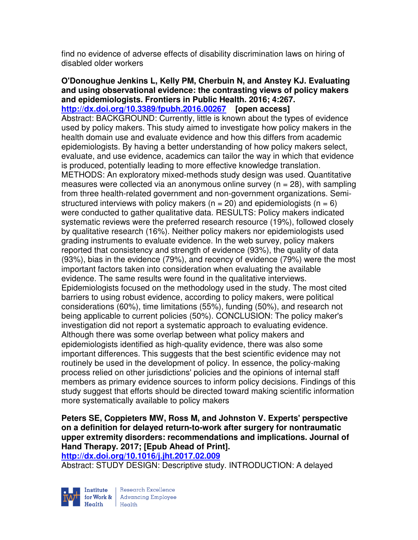find no evidence of adverse effects of disability discrimination laws on hiring of disabled older workers

#### **O'Donoughue Jenkins L, Kelly PM, Cherbuin N, and Anstey KJ. Evaluating and using observational evidence: the contrasting views of policy makers and epidemiologists. Frontiers in Public Health. 2016; 4:267. http://dx.doi.org/10.3389/fpubh.2016.00267 [open access]**

Abstract: BACKGROUND: Currently, little is known about the types of evidence used by policy makers. This study aimed to investigate how policy makers in the health domain use and evaluate evidence and how this differs from academic epidemiologists. By having a better understanding of how policy makers select, evaluate, and use evidence, academics can tailor the way in which that evidence is produced, potentially leading to more effective knowledge translation. METHODS: An exploratory mixed-methods study design was used. Quantitative measures were collected via an anonymous online survey ( $n = 28$ ), with sampling from three health-related government and non-government organizations. Semistructured interviews with policy makers ( $n = 20$ ) and epidemiologists ( $n = 6$ ) were conducted to gather qualitative data. RESULTS: Policy makers indicated systematic reviews were the preferred research resource (19%), followed closely by qualitative research (16%). Neither policy makers nor epidemiologists used grading instruments to evaluate evidence. In the web survey, policy makers reported that consistency and strength of evidence (93%), the quality of data (93%), bias in the evidence (79%), and recency of evidence (79%) were the most important factors taken into consideration when evaluating the available evidence. The same results were found in the qualitative interviews. Epidemiologists focused on the methodology used in the study. The most cited barriers to using robust evidence, according to policy makers, were political considerations (60%), time limitations (55%), funding (50%), and research not being applicable to current policies (50%). CONCLUSION: The policy maker's investigation did not report a systematic approach to evaluating evidence. Although there was some overlap between what policy makers and epidemiologists identified as high-quality evidence, there was also some important differences. This suggests that the best scientific evidence may not routinely be used in the development of policy. In essence, the policy-making process relied on other jurisdictions' policies and the opinions of internal staff members as primary evidence sources to inform policy decisions. Findings of this study suggest that efforts should be directed toward making scientific information more systematically available to policy makers

**Peters SE, Coppieters MW, Ross M, and Johnston V. Experts' perspective on a definition for delayed return-to-work after surgery for nontraumatic upper extremity disorders: recommendations and implications. Journal of Hand Therapy. 2017; [Epub Ahead of Print].** 

**http://dx.doi.org/10.1016/j.jht.2017.02.009** 

Abstract: STUDY DESIGN: Descriptive study. INTRODUCTION: A delayed



Research Excellence for Work & | Advancing Employee Health Health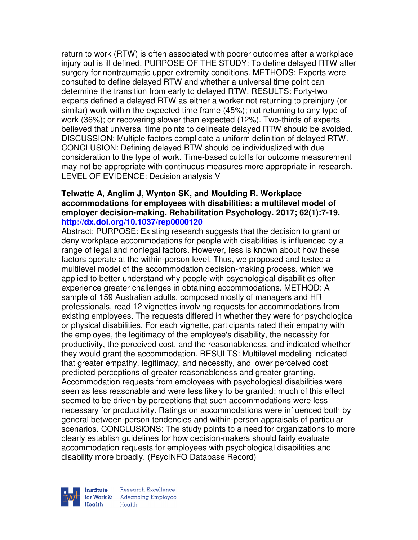return to work (RTW) is often associated with poorer outcomes after a workplace injury but is ill defined. PURPOSE OF THE STUDY: To define delayed RTW after surgery for nontraumatic upper extremity conditions. METHODS: Experts were consulted to define delayed RTW and whether a universal time point can determine the transition from early to delayed RTW. RESULTS: Forty-two experts defined a delayed RTW as either a worker not returning to preinjury (or similar) work within the expected time frame (45%); not returning to any type of work (36%); or recovering slower than expected (12%). Two-thirds of experts believed that universal time points to delineate delayed RTW should be avoided. DISCUSSION: Multiple factors complicate a uniform definition of delayed RTW. CONCLUSION: Defining delayed RTW should be individualized with due consideration to the type of work. Time-based cutoffs for outcome measurement may not be appropriate with continuous measures more appropriate in research. LEVEL OF EVIDENCE: Decision analysis V

### **Telwatte A, Anglim J, Wynton SK, and Moulding R. Workplace accommodations for employees with disabilities: a multilevel model of employer decision-making. Rehabilitation Psychology. 2017; 62(1):7-19. http://dx.doi.org/10.1037/rep0000120**

Abstract: PURPOSE: Existing research suggests that the decision to grant or deny workplace accommodations for people with disabilities is influenced by a range of legal and nonlegal factors. However, less is known about how these factors operate at the within-person level. Thus, we proposed and tested a multilevel model of the accommodation decision-making process, which we applied to better understand why people with psychological disabilities often experience greater challenges in obtaining accommodations. METHOD: A sample of 159 Australian adults, composed mostly of managers and HR professionals, read 12 vignettes involving requests for accommodations from existing employees. The requests differed in whether they were for psychological or physical disabilities. For each vignette, participants rated their empathy with the employee, the legitimacy of the employee's disability, the necessity for productivity, the perceived cost, and the reasonableness, and indicated whether they would grant the accommodation. RESULTS: Multilevel modeling indicated that greater empathy, legitimacy, and necessity, and lower perceived cost predicted perceptions of greater reasonableness and greater granting. Accommodation requests from employees with psychological disabilities were seen as less reasonable and were less likely to be granted; much of this effect seemed to be driven by perceptions that such accommodations were less necessary for productivity. Ratings on accommodations were influenced both by general between-person tendencies and within-person appraisals of particular scenarios. CONCLUSIONS: The study points to a need for organizations to more clearly establish guidelines for how decision-makers should fairly evaluate accommodation requests for employees with psychological disabilities and disability more broadly. (PsycINFO Database Record)



Research Excellence for Work & | Advancing Employee Health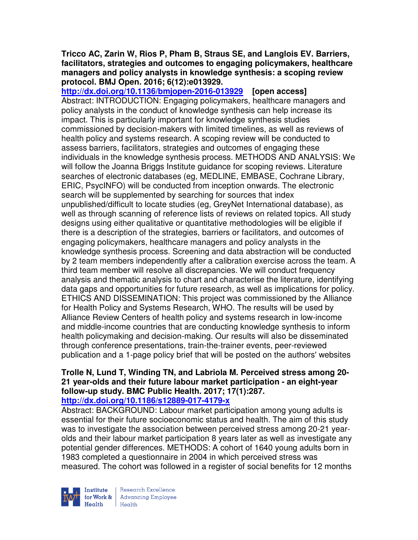### **Tricco AC, Zarin W, Rios P, Pham B, Straus SE, and Langlois EV. Barriers, facilitators, strategies and outcomes to engaging policymakers, healthcare managers and policy analysts in knowledge synthesis: a scoping review protocol. BMJ Open. 2016; 6(12):e013929.**

**http://dx.doi.org/10.1136/bmjopen-2016-013929 [open access]** Abstract: INTRODUCTION: Engaging policymakers, healthcare managers and policy analysts in the conduct of knowledge synthesis can help increase its impact. This is particularly important for knowledge synthesis studies commissioned by decision-makers with limited timelines, as well as reviews of health policy and systems research. A scoping review will be conducted to assess barriers, facilitators, strategies and outcomes of engaging these individuals in the knowledge synthesis process. METHODS AND ANALYSIS: We will follow the Joanna Briggs Institute guidance for scoping reviews. Literature searches of electronic databases (eg, MEDLINE, EMBASE, Cochrane Library, ERIC, PsycINFO) will be conducted from inception onwards. The electronic search will be supplemented by searching for sources that index unpublished/difficult to locate studies (eg, GreyNet International database), as well as through scanning of reference lists of reviews on related topics. All study designs using either qualitative or quantitative methodologies will be eligible if there is a description of the strategies, barriers or facilitators, and outcomes of engaging policymakers, healthcare managers and policy analysts in the knowledge synthesis process. Screening and data abstraction will be conducted by 2 team members independently after a calibration exercise across the team. A third team member will resolve all discrepancies. We will conduct frequency analysis and thematic analysis to chart and characterise the literature, identifying data gaps and opportunities for future research, as well as implications for policy. ETHICS AND DISSEMINATION: This project was commissioned by the Alliance for Health Policy and Systems Research, WHO. The results will be used by Alliance Review Centers of health policy and systems research in low-income and middle-income countries that are conducting knowledge synthesis to inform health policymaking and decision-making. Our results will also be disseminated through conference presentations, train-the-trainer events, peer-reviewed publication and a 1-page policy brief that will be posted on the authors' websites

### **Trolle N, Lund T, Winding TN, and Labriola M. Perceived stress among 20- 21 year-olds and their future labour market participation - an eight-year follow-up study. BMC Public Health. 2017; 17(1):287. http://dx.doi.org/10.1186/s12889-017-4179-x**

Abstract: BACKGROUND: Labour market participation among young adults is essential for their future socioeconomic status and health. The aim of this study was to investigate the association between perceived stress among 20-21 yearolds and their labour market participation 8 years later as well as investigate any potential gender differences. METHODS: A cohort of 1640 young adults born in 1983 completed a questionnaire in 2004 in which perceived stress was measured. The cohort was followed in a register of social benefits for 12 months



Research Excellence for Work & | Advancing Employee Health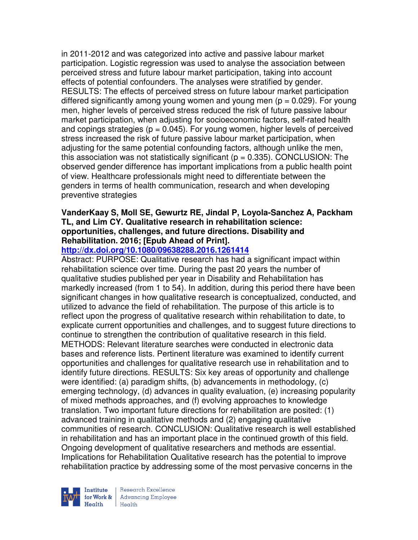in 2011-2012 and was categorized into active and passive labour market participation. Logistic regression was used to analyse the association between perceived stress and future labour market participation, taking into account effects of potential confounders. The analyses were stratified by gender. RESULTS: The effects of perceived stress on future labour market participation differed significantly among young women and young men ( $p = 0.029$ ). For young men, higher levels of perceived stress reduced the risk of future passive labour market participation, when adjusting for socioeconomic factors, self-rated health and copings strategies ( $p = 0.045$ ). For young women, higher levels of perceived stress increased the risk of future passive labour market participation, when adjusting for the same potential confounding factors, although unlike the men, this association was not statistically significant ( $p = 0.335$ ). CONCLUSION: The observed gender difference has important implications from a public health point of view. Healthcare professionals might need to differentiate between the genders in terms of health communication, research and when developing preventive strategies

### **VanderKaay S, Moll SE, Gewurtz RE, Jindal P, Loyola-Sanchez A, Packham TL, and Lim CY. Qualitative research in rehabilitation science: opportunities, challenges, and future directions. Disability and Rehabilitation. 2016; [Epub Ahead of Print].**

# **http://dx.doi.org/10.1080/09638288.2016.1261414**

Abstract: PURPOSE: Qualitative research has had a significant impact within rehabilitation science over time. During the past 20 years the number of qualitative studies published per year in Disability and Rehabilitation has markedly increased (from 1 to 54). In addition, during this period there have been significant changes in how qualitative research is conceptualized, conducted, and utilized to advance the field of rehabilitation. The purpose of this article is to reflect upon the progress of qualitative research within rehabilitation to date, to explicate current opportunities and challenges, and to suggest future directions to continue to strengthen the contribution of qualitative research in this field. METHODS: Relevant literature searches were conducted in electronic data bases and reference lists. Pertinent literature was examined to identify current opportunities and challenges for qualitative research use in rehabilitation and to identify future directions. RESULTS: Six key areas of opportunity and challenge were identified: (a) paradigm shifts, (b) advancements in methodology, (c) emerging technology, (d) advances in quality evaluation, (e) increasing popularity of mixed methods approaches, and (f) evolving approaches to knowledge translation. Two important future directions for rehabilitation are posited: (1) advanced training in qualitative methods and (2) engaging qualitative communities of research. CONCLUSION: Qualitative research is well established in rehabilitation and has an important place in the continued growth of this field. Ongoing development of qualitative researchers and methods are essential. Implications for Rehabilitation Qualitative research has the potential to improve rehabilitation practice by addressing some of the most pervasive concerns in the



Research Excellence for Work & | Advancing Employee  $H_{\text{each}}$